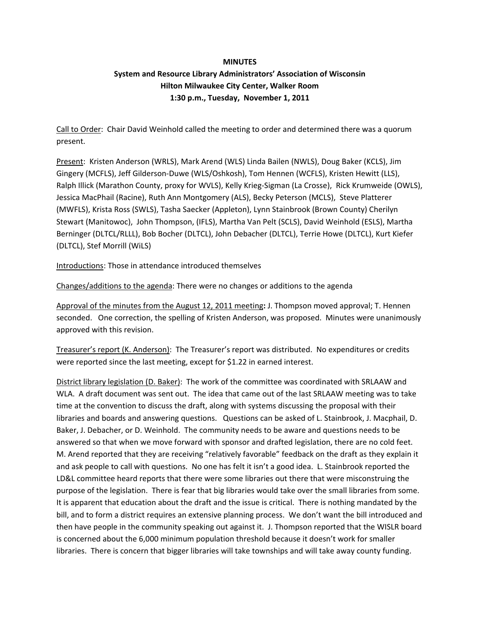### **MINUTES**

# **System and Resource Library Administrators' Association of Wisconsin Hilton Milwaukee City Center, Walker Room 1:30 p.m., Tuesday, November 1, 2011**

Call to Order: Chair David Weinhold called the meeting to order and determined there was a quorum present.

Present: Kristen Anderson (WRLS), Mark Arend (WLS) Linda Bailen (NWLS), Doug Baker (KCLS), Jim Gingery (MCFLS), Jeff Gilderson‐Duwe (WLS/Oshkosh), Tom Hennen (WCFLS), Kristen Hewitt (LLS), Ralph Illick (Marathon County, proxy for WVLS), Kelly Krieg‐Sigman (La Crosse), Rick Krumweide (OWLS), Jessica MacPhail (Racine), Ruth Ann Montgomery (ALS), Becky Peterson (MCLS), Steve Platterer (MWFLS), Krista Ross (SWLS), Tasha Saecker (Appleton), Lynn Stainbrook (Brown County) Cherilyn Stewart (Manitowoc), John Thompson, (IFLS), Martha Van Pelt (SCLS), David Weinhold (ESLS), Martha Berninger (DLTCL/RLLL), Bob Bocher (DLTCL), John Debacher (DLTCL), Terrie Howe (DLTCL), Kurt Kiefer (DLTCL), Stef Morrill (WiLS)

Introductions: Those in attendance introduced themselves

Changes/additions to the agenda: There were no changes or additions to the agenda

Approval of the minutes from the August 12, 2011 meeting**:** J. Thompson moved approval; T. Hennen seconded. One correction, the spelling of Kristen Anderson, was proposed. Minutes were unanimously approved with this revision.

Treasurer's report (K. Anderson): The Treasurer's report was distributed. No expenditures or credits were reported since the last meeting, except for \$1.22 in earned interest.

District library legislation (D. Baker): The work of the committee was coordinated with SRLAAW and WLA. A draft document was sent out. The idea that came out of the last SRLAAW meeting was to take time at the convention to discuss the draft, along with systems discussing the proposal with their libraries and boards and answering questions. Questions can be asked of L. Stainbrook, J. Macphail, D. Baker, J. Debacher, or D. Weinhold. The community needs to be aware and questions needs to be answered so that when we move forward with sponsor and drafted legislation, there are no cold feet. M. Arend reported that they are receiving "relatively favorable" feedback on the draft as they explain it and ask people to call with questions. No one has felt it isn't a good idea. L. Stainbrook reported the LD&L committee heard reports that there were some libraries out there that were misconstruing the purpose of the legislation. There is fear that big libraries would take over the small libraries from some. It is apparent that education about the draft and the issue is critical. There is nothing mandated by the bill, and to form a district requires an extensive planning process. We don't want the bill introduced and then have people in the community speaking out against it. J. Thompson reported that the WISLR board is concerned about the 6,000 minimum population threshold because it doesn't work for smaller libraries. There is concern that bigger libraries will take townships and will take away county funding.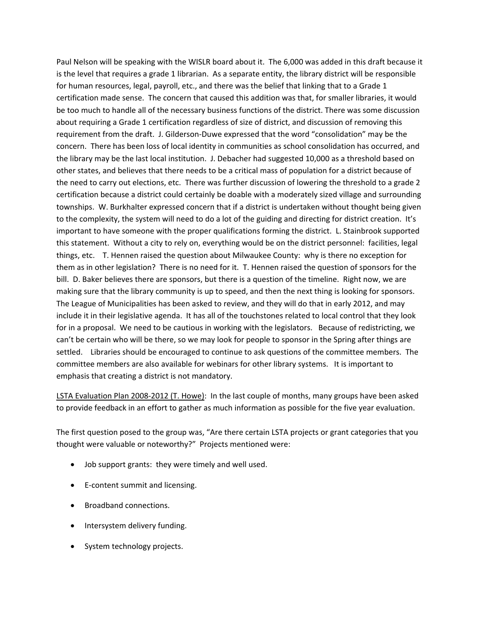Paul Nelson will be speaking with the WISLR board about it. The 6,000 was added in this draft because it is the level that requires a grade 1 librarian. As a separate entity, the library district will be responsible for human resources, legal, payroll, etc., and there was the belief that linking that to a Grade 1 certification made sense. The concern that caused this addition was that, for smaller libraries, it would be too much to handle all of the necessary business functions of the district. There was some discussion about requiring a Grade 1 certification regardless of size of district, and discussion of removing this requirement from the draft. J. Gilderson‐Duwe expressed that the word "consolidation" may be the concern. There has been loss of local identity in communities as school consolidation has occurred, and the library may be the last local institution. J. Debacher had suggested 10,000 as a threshold based on other states, and believes that there needs to be a critical mass of population for a district because of the need to carry out elections, etc. There was further discussion of lowering the threshold to a grade 2 certification because a district could certainly be doable with a moderately sized village and surrounding townships. W. Burkhalter expressed concern that if a district is undertaken without thought being given to the complexity, the system will need to do a lot of the guiding and directing for district creation. It's important to have someone with the proper qualifications forming the district. L. Stainbrook supported this statement. Without a city to rely on, everything would be on the district personnel: facilities, legal things, etc. T. Hennen raised the question about Milwaukee County: why is there no exception for them as in other legislation? There is no need for it. T. Hennen raised the question of sponsors for the bill. D. Baker believes there are sponsors, but there is a question of the timeline. Right now, we are making sure that the library community is up to speed, and then the next thing is looking for sponsors. The League of Municipalities has been asked to review, and they will do that in early 2012, and may include it in their legislative agenda. It has all of the touchstones related to local control that they look for in a proposal. We need to be cautious in working with the legislators. Because of redistricting, we can't be certain who will be there, so we may look for people to sponsor in the Spring after things are settled. Libraries should be encouraged to continue to ask questions of the committee members. The committee members are also available for webinars for other library systems. It is important to emphasis that creating a district is not mandatory.

LSTA Evaluation Plan 2008‐2012 (T. Howe): In the last couple of months, many groups have been asked to provide feedback in an effort to gather as much information as possible for the five year evaluation.

The first question posed to the group was, "Are there certain LSTA projects or grant categories that you thought were valuable or noteworthy?" Projects mentioned were:

- Job support grants: they were timely and well used.
- E-content summit and licensing.
- Broadband connections.
- Intersystem delivery funding.
- System technology projects.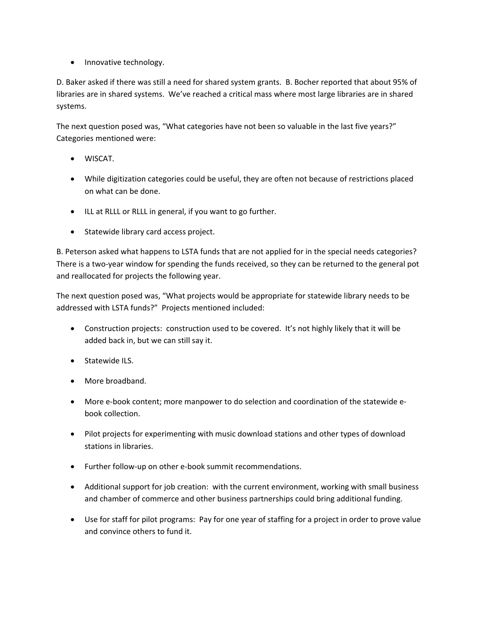• Innovative technology.

D. Baker asked if there was still a need for shared system grants. B. Bocher reported that about 95% of libraries are in shared systems. We've reached a critical mass where most large libraries are in shared systems.

The next question posed was, "What categories have not been so valuable in the last five years?" Categories mentioned were:

- WISCAT.
- While digitization categories could be useful, they are often not because of restrictions placed on what can be done.
- ILL at RLLL or RLLL in general, if you want to go further.
- Statewide library card access project.

B. Peterson asked what happens to LSTA funds that are not applied for in the special needs categories? There is a two-year window for spending the funds received, so they can be returned to the general pot and reallocated for projects the following year.

The next question posed was, "What projects would be appropriate for statewide library needs to be addressed with LSTA funds?" Projects mentioned included:

- Construction projects: construction used to be covered. It's not highly likely that it will be added back in, but we can still say it.
- Statewide ILS.
- More broadband.
- More e-book content; more manpower to do selection and coordination of the statewide ebook collection.
- Pilot projects for experimenting with music download stations and other types of download stations in libraries.
- Further follow‐up on other e‐book summit recommendations.
- Additional support for job creation: with the current environment, working with small business and chamber of commerce and other business partnerships could bring additional funding.
- Use for staff for pilot programs: Pay for one year of staffing for a project in order to prove value and convince others to fund it.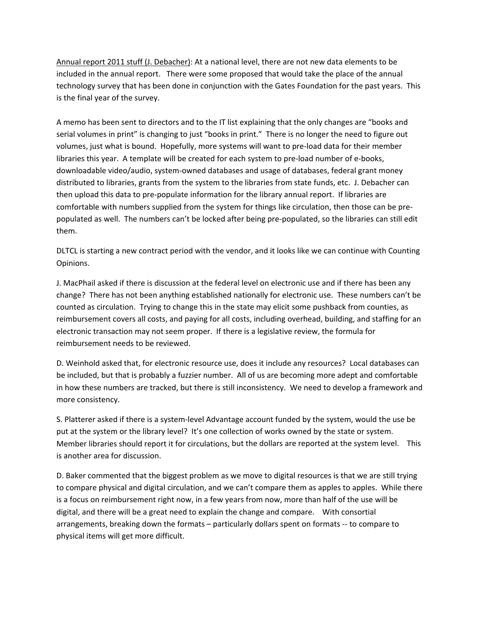Annual report 2011 stuff (J. Debacher): At a national level, there are not new data elements to be included in the annual report. There were some proposed that would take the place of the annual technology survey that has been done in conjunction with the Gates Foundation for the past years. This is the final year of the survey.

A memo has been sent to directors and to the IT list explaining that the only changes are "books and serial volumes in print" is changing to just "books in print." There is no longer the need to figure out volumes, just what is bound. Hopefully, more systems will want to pre‐load data for their member libraries this year. A template will be created for each system to pre‐load number of e‐books, downloadable video/audio, system‐owned databases and usage of databases, federal grant money distributed to libraries, grants from the system to the libraries from state funds, etc. J. Debacher can then upload this data to pre‐populate information for the library annual report. If libraries are comfortable with numbers supplied from the system for things like circulation, then those can be pre‐ populated as well. The numbers can't be locked after being pre‐populated, so the libraries can still edit them.

DLTCL is starting a new contract period with the vendor, and it looks like we can continue with Counting Opinions.

J. MacPhail asked if there is discussion at the federal level on electronic use and if there has been any change? There has not been anything established nationally for electronic use. These numbers can't be counted as circulation. Trying to change this in the state may elicit some pushback from counties, as reimbursement covers all costs, and paying for all costs, including overhead, building, and staffing for an electronic transaction may not seem proper. If there is a legislative review, the formula for reimbursement needs to be reviewed.

D. Weinhold asked that, for electronic resource use, does it include any resources? Local databases can be included, but that is probably a fuzzier number. All of us are becoming more adept and comfortable in how these numbers are tracked, but there is still inconsistency. We need to develop a framework and more consistency.

S. Platterer asked if there is a system‐level Advantage account funded by the system, would the use be put at the system or the library level? It's one collection of works owned by the state or system. Member libraries should report it for circulations, but the dollars are reported at the system level. This is another area for discussion.

D. Baker commented that the biggest problem as we move to digital resources is that we are still trying to compare physical and digital circulation, and we can't compare them as apples to apples. While there is a focus on reimbursement right now, in a few years from now, more than half of the use will be digital, and there will be a great need to explain the change and compare. With consortial arrangements, breaking down the formats – particularly dollars spent on formats ‐‐ to compare to physical items will get more difficult.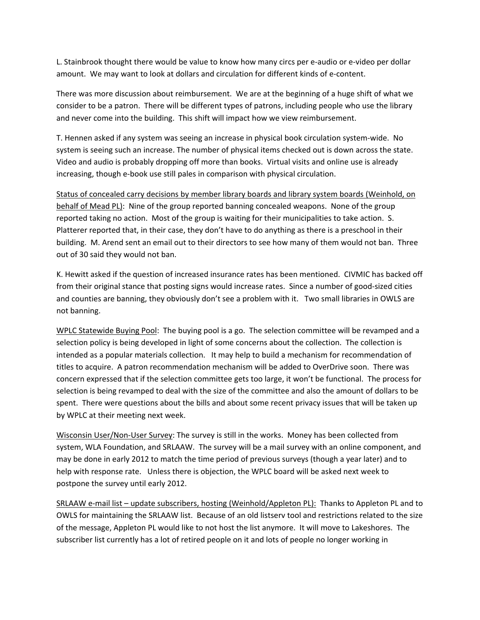L. Stainbrook thought there would be value to know how many circs per e-audio or e-video per dollar amount. We may want to look at dollars and circulation for different kinds of e-content.

There was more discussion about reimbursement. We are at the beginning of a huge shift of what we consider to be a patron. There will be different types of patrons, including people who use the library and never come into the building. This shift will impact how we view reimbursement.

T. Hennen asked if any system was seeing an increase in physical book circulation system‐wide. No system is seeing such an increase. The number of physical items checked out is down across the state. Video and audio is probably dropping off more than books. Virtual visits and online use is already increasing, though e‐book use still pales in comparison with physical circulation.

Status of concealed carry decisions by member library boards and library system boards (Weinhold, on behalf of Mead PL): Nine of the group reported banning concealed weapons. None of the group reported taking no action. Most of the group is waiting for their municipalities to take action. S. Platterer reported that, in their case, they don't have to do anything as there is a preschool in their building. M. Arend sent an email out to their directors to see how many of them would not ban. Three out of 30 said they would not ban.

K. Hewitt asked if the question of increased insurance rates has been mentioned. CIVMIC has backed off from their original stance that posting signs would increase rates. Since a number of good‐sized cities and counties are banning, they obviously don't see a problem with it. Two small libraries in OWLS are not banning.

WPLC Statewide Buying Pool: The buying pool is a go. The selection committee will be revamped and a selection policy is being developed in light of some concerns about the collection. The collection is intended as a popular materials collection. It may help to build a mechanism for recommendation of titles to acquire. A patron recommendation mechanism will be added to OverDrive soon. There was concern expressed that if the selection committee gets too large, it won't be functional. The process for selection is being revamped to deal with the size of the committee and also the amount of dollars to be spent. There were questions about the bills and about some recent privacy issues that will be taken up by WPLC at their meeting next week.

Wisconsin User/Non-User Survey: The survey is still in the works. Money has been collected from system, WLA Foundation, and SRLAAW. The survey will be a mail survey with an online component, and may be done in early 2012 to match the time period of previous surveys (though a year later) and to help with response rate. Unless there is objection, the WPLC board will be asked next week to postpone the survey until early 2012.

SRLAAW e-mail list – update subscribers, hosting (Weinhold/Appleton PL): Thanks to Appleton PL and to OWLS for maintaining the SRLAAW list. Because of an old listserv tool and restrictions related to the size of the message, Appleton PL would like to not host the list anymore. It will move to Lakeshores. The subscriber list currently has a lot of retired people on it and lots of people no longer working in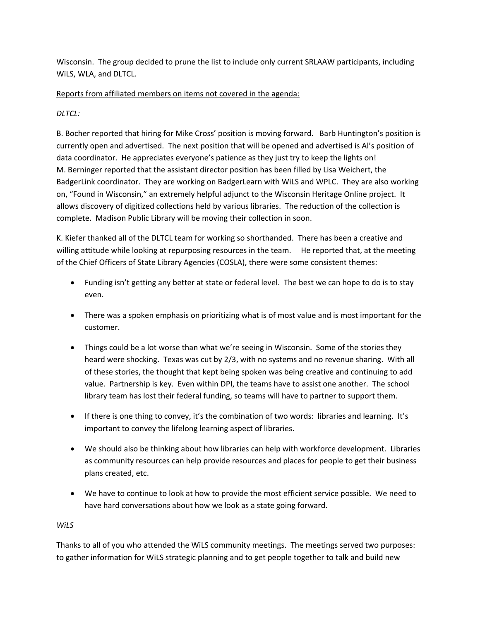Wisconsin. The group decided to prune the list to include only current SRLAAW participants, including WiLS, WLA, and DLTCL.

## Reports from affiliated members on items not covered in the agenda:

# *DLTCL:*

B. Bocher reported that hiring for Mike Cross' position is moving forward. Barb Huntington's position is currently open and advertised. The next position that will be opened and advertised is Al's position of data coordinator. He appreciates everyone's patience as they just try to keep the lights on! M. Berninger reported that the assistant director position has been filled by Lisa Weichert, the BadgerLink coordinator. They are working on BadgerLearn with WiLS and WPLC. They are also working on, "Found in Wisconsin," an extremely helpful adjunct to the Wisconsin Heritage Online project. It allows discovery of digitized collections held by various libraries. The reduction of the collection is complete. Madison Public Library will be moving their collection in soon.

K. Kiefer thanked all of the DLTCL team for working so shorthanded. There has been a creative and willing attitude while looking at repurposing resources in the team. He reported that, at the meeting of the Chief Officers of State Library Agencies (COSLA), there were some consistent themes:

- Funding isn't getting any better at state or federal level. The best we can hope to do is to stay even.
- There was a spoken emphasis on prioritizing what is of most value and is most important for the customer.
- Things could be a lot worse than what we're seeing in Wisconsin. Some of the stories they heard were shocking. Texas was cut by 2/3, with no systems and no revenue sharing. With all of these stories, the thought that kept being spoken was being creative and continuing to add value. Partnership is key. Even within DPI, the teams have to assist one another. The school library team has lost their federal funding, so teams will have to partner to support them.
- If there is one thing to convey, it's the combination of two words: libraries and learning. It's important to convey the lifelong learning aspect of libraries.
- We should also be thinking about how libraries can help with workforce development. Libraries as community resources can help provide resources and places for people to get their business plans created, etc.
- We have to continue to look at how to provide the most efficient service possible. We need to have hard conversations about how we look as a state going forward.

### *WiLS*

Thanks to all of you who attended the WiLS community meetings. The meetings served two purposes: to gather information for WiLS strategic planning and to get people together to talk and build new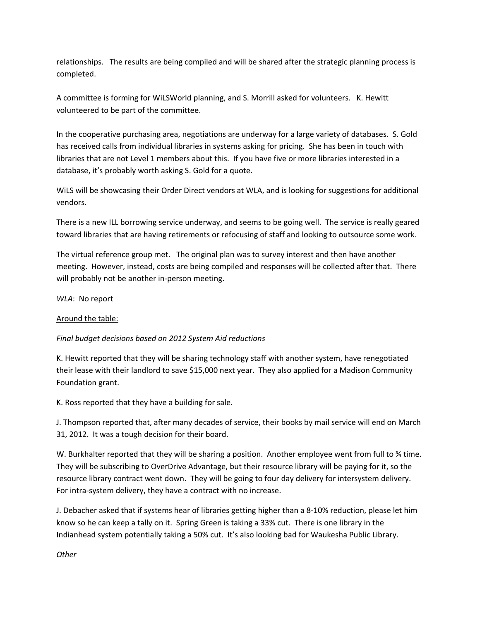relationships. The results are being compiled and will be shared after the strategic planning process is completed.

A committee is forming for WiLSWorld planning, and S. Morrill asked for volunteers. K. Hewitt volunteered to be part of the committee.

In the cooperative purchasing area, negotiations are underway for a large variety of databases. S. Gold has received calls from individual libraries in systems asking for pricing. She has been in touch with libraries that are not Level 1 members about this. If you have five or more libraries interested in a database, it's probably worth asking S. Gold for a quote.

WiLS will be showcasing their Order Direct vendors at WLA, and is looking for suggestions for additional vendors.

There is a new ILL borrowing service underway, and seems to be going well. The service is really geared toward libraries that are having retirements or refocusing of staff and looking to outsource some work.

The virtual reference group met. The original plan was to survey interest and then have another meeting. However, instead, costs are being compiled and responses will be collected after that. There will probably not be another in-person meeting.

*WLA*: No report

### Around the table:

### *Final budget decisions based on 2012 System Aid reductions*

K. Hewitt reported that they will be sharing technology staff with another system, have renegotiated their lease with their landlord to save \$15,000 next year. They also applied for a Madison Community Foundation grant.

K. Ross reported that they have a building for sale.

J. Thompson reported that, after many decades of service, their books by mail service will end on March 31, 2012. It was a tough decision for their board.

W. Burkhalter reported that they will be sharing a position. Another employee went from full to % time. They will be subscribing to OverDrive Advantage, but their resource library will be paying for it, so the resource library contract went down. They will be going to four day delivery for intersystem delivery. For intra‐system delivery, they have a contract with no increase.

J. Debacher asked that if systems hear of libraries getting higher than a 8‐10% reduction, please let him know so he can keep a tally on it. Spring Green is taking a 33% cut. There is one library in the Indianhead system potentially taking a 50% cut. It's also looking bad for Waukesha Public Library.

*Other*